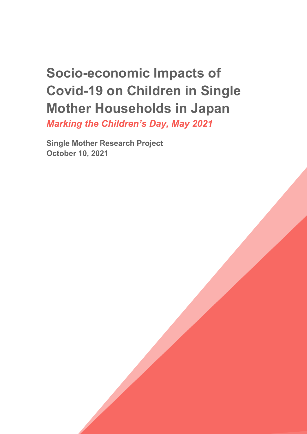# **Socio-economic Impacts of Covid-19 on Children in Single Mother Households in Japan**

*Marking the Children's Day, May 2021*

**Single Mother Research Project October 10, 2021**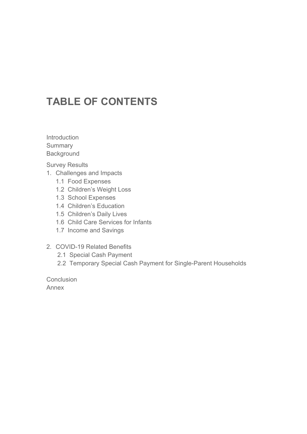## **TABLE OF CONTENTS**

Introduction **Summary Background** 

Survey Results

- 1. Challenges and Impacts
	- 1.1 Food Expenses
	- 1.2 Children's Weight Loss
	- 1.3 School Expenses
	- 1.4 Children's Education
	- 1.5 Children's Daily Lives
	- 1.6 Child Care Services for Infants
	- 1.7 Income and Savings
- 2. COVID-19 Related Benefits
	- 2.1 Special Cash Payment
	- 2.2 Temporary Special Cash Payment for Single-Parent Households

**Conclusion** Annex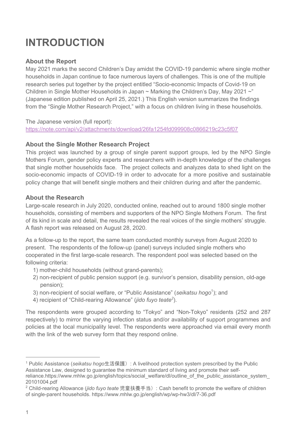## **INTRODUCTION**

### **About the Report**

May 2021 marks the second Children's Day amidst the COVID-19 pandemic where single mother households in Japan continue to face numerous layers of challenges. This is one of the multiple research series put together by the project entitled "Socio-economic Impacts of Covid-19 on Children in Single Mother Households in Japan  $\sim$  Marking the Children's Day, May 2021  $\sim$ " (Japanese edition published on April 25, 2021.) This English version summarizes the findings from the "Single Mother Research Project," with a focus on children living in these households.

The Japanese version (full report): https://note.com/api/v2/attachments/download/26fa1254fd099908c0866219c23c5f07

#### **About the Single Mother Research Project**

This project was launched by a group of single parent support groups, led by the NPO Single Mothers Forum, gender policy experts and researchers with in-depth knowledge of the challenges that single mother households face. The project collects and analyzes data to shed light on the socio-economic impacts of COVID-19 in order to advocate for a more positive and sustainable policy change that will benefit single mothers and their children during and after the pandemic.

#### **About the Research**

Large-scale research in July 2020, conducted online, reached out to around 1800 single mother households, consisting of members and supporters of the NPO Single Mothers Forum. The first of its kind in scale and detail, the results revealed the real voices of the single mothers' struggle. A flash report was released on August 28, 2020.

As a follow-up to the report, the same team conducted monthly surveys from August 2020 to present. The respondents of the follow-up (panel) surveys included single mothers who cooperated in the first large-scale research. The respondent pool was selected based on the following criteria:

- 1) mother-child households (without grand-parents);
- 2) non-recipient of public pension support (e.g. survivor's pension, disability pension, old-age pension);
- 3) non-recipient of social welfare, or "Public Assistance" (seikatsu hogo<sup>1</sup>); and
- 4) recipient of "Child-rearing Allowance" (*jido fuyo teate<sup>2</sup>* ).

The respondents were grouped according to "Tokyo" and "Non-Tokyo" residents (252 and 287 respectively) to mirror the varying infection status and/or availability of support programmes and policies at the local municipality level. The respondents were approached via email every month with the link of the web survey form that they respond online.

<sup>1</sup> Public Assistance (*seikatsu hogo*生活保護): A livelihood protection system prescribed by the Public Assistance Law, designed to guarantee the minimum standard of living and promote their selfreliance.https://www.mhlw.go.jp/english/topics/social\_welfare/dl/outline\_of\_the\_public\_assistance\_system\_ 20101004.pdf

<sup>2</sup> Child-rearing Allowance (*jido fuyo teate* 児童扶養手当): Cash benefit to promote the welfare of children of single-parent households. https://www.mhlw.go.jp/english/wp/wp-hw3/dl/7-36.pdf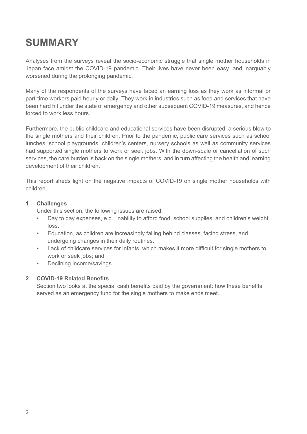## **SUMMARY**

Analyses from the surveys reveal the socio-economic struggle that single mother households in Japan face amidst the COVID-19 pandemic. Their lives have never been easy, and inarguably worsened during the prolonging pandemic.

Many of the respondents of the surveys have faced an earning loss as they work as informal or part-time workers paid hourly or daily. They work in industries such as food and services that have been hard hit under the state of emergency and other subsequent COVID-19 measures, and hence forced to work less hours.

Furthermore, the public childcare and educational services have been disrupted: a serious blow to the single mothers and their children. Prior to the pandemic, public care services such as school lunches, school playgrounds, children's centers, nursery schools as well as community services had supported single mothers to work or seek jobs. With the down-scale or cancellation of such services, the care burden is back on the single mothers, and in turn affecting the health and learning development of their children.

This report sheds light on the negative impacts of COVID-19 on single mother households with children.

#### **1 Challenges**

Under this section, the following issues are raised:

- Day to day expenses, e.g., inability to afford food, school supplies, and children's weight loss.
- Education, as children are increasingly falling behind classes, facing stress, and undergoing changes in their daily routines.
- Lack of childcare services for infants, which makes it more difficult for single mothers to work or seek jobs; and
- Declining income/savings

#### **2 COVID-19 Related Benefits**

Section two looks at the special cash benefits paid by the government: how these benefits served as an emergency fund for the single mothers to make ends meet.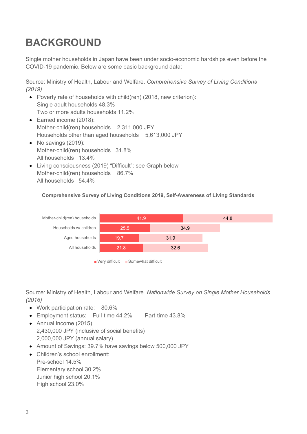## **BACKGROUND**

Single mother households in Japan have been under socio-economic hardships even before the COVID-19 pandemic. Below are some basic background data:

Source: Ministry of Health, Labour and Welfare. *Comprehensive Survey of Living Conditions (2019)*

- Poverty rate of households with child(ren) (2018, new criterion): Single adult households 48.3% Two or more adults households 11.2%
- Earned income (2018): Mother-child(ren) households 2,311,000 JPY Households other than aged households 5,613,000 JPY
- No savings (2019): Mother-child(ren) households 31.8% All households 13.4%
- Living consciousness (2019) "Difficult": see Graph below Mother-child(ren) households 86.7% All households 54.4%

#### **Comprehensive Survey of Living Conditions 2019, Self-Awareness of Living Standards**



Very difficult Somewhat difficult

Source: Ministry of Health, Labour and Welfare. *Nationwide Survey on Single Mother Households (2016)*

- Work participation rate: 80.6%
- Employment status: Full-time 44.2% Part-time 43.8%
- Annual income (2015) 2,430,000 JPY (inclusive of social benefits) 2,000,000 JPY (annual salary)
- Amount of Savings: 39.7% have savings below 500,000 JPY
- Children's school enrollment: Pre-school 14.5% Elementary school 30.2% Junior high school 20.1% High school 23.0%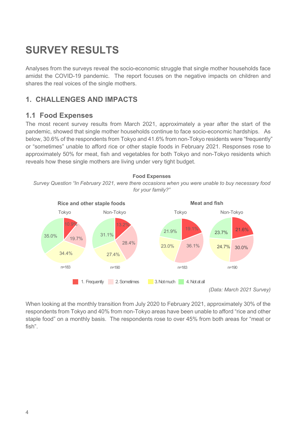## **SURVEY RESULTS**

Analyses from the surveys reveal the socio-economic struggle that single mother households face amidst the COVID-19 pandemic. The report focuses on the negative impacts on children and shares the real voices of the single mothers.

## **1. CHALLENGES AND IMPACTS**

### **1.1 Food Expenses**

The most recent survey results from March 2021, approximately a year after the start of the pandemic, showed that single mother households continue to face socio-economic hardships. As below, 30.6% of the respondents from Tokyo and 41.6% from non-Tokyo residents were "frequently" or "sometimes" unable to afford rice or other staple foods in February 2021. Responses rose to approximately 50% for meat, fish and vegetables for both Tokyo and non-Tokyo residents which reveals how these single mothers are living under very tight budget.

#### **Food Expenses**

*Survey Question "In February 2021, were there occasions when you were unable to buy necessary food for your family?"*



When looking at the monthly transition from July 2020 to February 2021, approximately 30% of the respondents from Tokyo and 40% from non-Tokyo areas have been unable to afford "rice and other staple food" on a monthly basis. The respondents rose to over 45% from both areas for "meat or fish".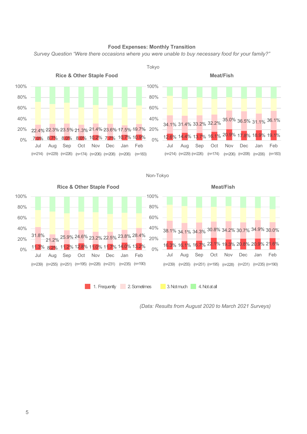

#### **Food Expenses: Monthly Transition**

*Survey Question "Were there occasions where you were unable to buy necessary food for your family?"*

*(Data: Results from August 2020 to March 2021 Surveys)*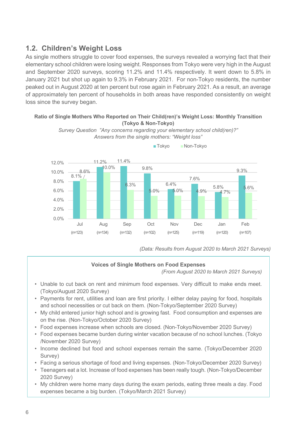### **1.2. Children's Weight Loss**

As single mothers struggle to cover food expenses, the surveys revealed a worrying fact that their elementary school children were losing weight. Responses from Tokyo were very high in the August and September 2020 surveys, scoring 11.2% and 11.4% respectively. It went down to 5.8% in January 2021 but shot up again to 9.3% in February 2021. For non-Tokyo residents, the number peaked out in August 2020 at ten percent but rose again in February 2021. As a result, an average of approximately ten percent of households in both areas have responded consistently on weight loss since the survey began.

#### **Ratio of Single Mothers Who Reported on Their Child(ren)'s Weight Loss: Monthly Transition (Tokyo & Non-Tokyo)**



*Survey Question "Any concerns regarding your elementary school child(ren)?" Answers from the single mothers: "Weight loss"*

■ Tokyo ■ Non-Tokyo

*(Data: Results from August 2020 to March 2021 Surveys)*

#### **Voices of Single Mothers on Food Expenses**

*(From August 2020 to March 2021 Surveys)*

- Unable to cut back on rent and minimum food expenses. Very difficult to make ends meet. (Tokyo/August 2020 Survey)
- Payments for rent, utilities and loan are first priority. I either delay paying for food, hospitals and school necessities or cut back on them. (Non-Tokyo/September 2020 Survey)
- My child entered junior high school and is growing fast. Food consumption and expenses are on the rise. (Non-Tokyo/October 2020 Survey)
- Food expenses increase when schools are closed. (Non-Tokyo/November 2020 Survey)
- Food expenses became burden during winter vacation because of no school lunches. (Tokyo /November 2020 Survey)
- Income declined but food and school expenses remain the same. (Tokyo/December 2020 Survey)
- Facing a serious shortage of food and living expenses. (Non-Tokyo/December 2020 Survey)
- Teenagers eat a lot. Increase of food expenses has been really tough. (Non-Tokyo/December 2020 Survey)
- My children were home many days during the exam periods, eating three meals a day. Food expenses became a big burden. (Tokyo/March 2021 Survey)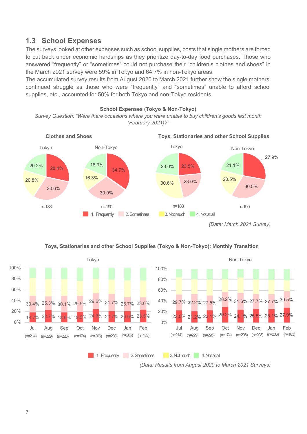### **1.3 School Expenses**

The surveys looked at other expenses such as school supplies, costs that single mothers are forced to cut back under economic hardships as they prioritize day-to-day food purchases. Those who answered "frequently" or "sometimes" could not purchase their "children's clothes and shoes" in the March 2021 survey were 59% in Tokyo and 64.7% in non-Tokyo areas.

The accumulated survey results from August 2020 to March 2021 further show the single mothers' continued struggle as those who were "frequently" and "sometimes" unable to afford school supplies, etc., accounted for 50% for both Tokyo and non-Tokyo residents.



*<sup>(</sup>Data: March 2021 Survey)*

#### **Toys, Stationaries and other School Supplies (Tokyo & Non-Tokyo): Monthly Transition**

1. Frequently 2. Sometimes 3. Not much 4. Not at all



*(Data: Results from August 2020 to March 2021 Surveys)*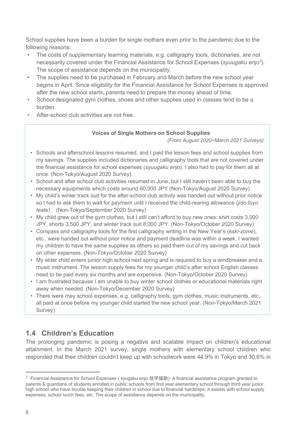School supplies have been a burden for single mothers even prior to the pandemic due to the following reasons:

- The costs of supplementary learning materials, e.g. calligraphy tools, dictionaries, are not necessarily covered under the Financial Assistance for School Expenses (*syuugaku enjo*<sup>3</sup>). The scope of assistance depends on the municipality.
- The supplies need to be purchased in February and March before the new school year begins in April. Since eligibility for the Financial Assistance for School Expenses is approved after the new school starts, parents need to prepare the money ahead of time.
- School designated gym clothes, shoes and other supplies used in classes tend to be a burden.
- After-school club activities are not free.

#### **Voices of Single Mothers on School Supplies**

*(From August 2020~March 2021 Surveys)*

- Schools and afterschool lessons resumed, and I paid the lesson fees and school supplies from my savings. The supplies included dictionaries and calligraphy tools that are not covered under the financial assistance for school expenses (*syuugaku enjo*). I also had to pay for them all at once. (Non-Tokyo/August 2020 Survey)
- School and after school club activities resumed in June, but I still haven't been able to buy the necessary equipments which costs around 60,000 JPY (Non-Tokyo/August 2020 Survey)
- My child's winter track suit for the after-school club activity was handed out without prior notice so I had to ask them to wait for payment until I received the child-rearing allowance (*jido fuyo teat*e) . (Non-Tokyo/September 2020 Survey)
- My child grew out of the gym clothes, but I still can't afford to buy new ones: shirt costs 3,000 JPY, shorts 3,500 JPY, and winter track suit 8,000 JPY. (Non-Tokyo/October 2020 Survey)
- Compass and calligraphy tools for the first calligraphy writing in the New Year's (*kaki-zome*), etc.. were handed out without prior notice and payment deadline was within a week. I wanted my children to have the same supplies as others so paid them out of my savings and cut back on other expenses. (Non-Tokyo/October 2020 Survey)
- My elder child enters junior high school next spring and is required to buy a windbreaker and a music instrument. The lesson supply fees for my younger child's after school English classes need to be paid every six months and are expensive. (Non-Tokyo/October 2020 Survey)
- I am frustrated because I am unable to buy winter school clothes or educational materials right away when needed. (Non-Tokyo/December 2020 Survey)
- There were may school expenses, e.g. calligraphy tools, gym clothes, music instruments, etc.. all paid at once before my younger child started the new school year. (Non-Tokyo/March 2021 Survey)

## **1.4 Children's Education**

The prolonging pandemic is posing a negative and scalable impact on children's educational attainment. In the March 2021 survey, single mothers with elementary school children who responded that their children couldn't keep up with schoolwork were 44.9% in Tokyo and 30.6% in

<sup>&</sup>lt;sup>3</sup> Financial Assistance for School Expenses (syugaku enjo 就学援助): A financial assistance program granted to parents & guardians of students enrolled in public schools from first year elementary school through third year junior high school who have trouble keeping their children in school due to financial hardships. It assists with school supply expenses, school lunch fees, etc. The scope of assistance depends on the municipality.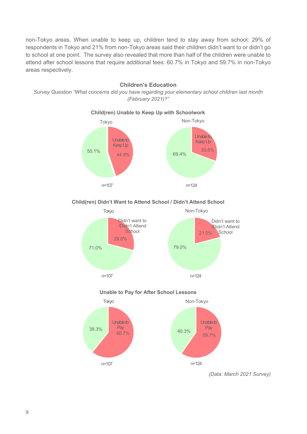non-Tokyo areas. When unable to keep up, children tend to stay away from school: 29% of respondents in Tokyo and 21% from non-Tokyo areas said their children didn't want to or didn't go to school at one point. The survey also revealed that more than half of the children were unable to attend after school lessons that require additional fees: 60.7% in Tokyo and 59.7% in non-Tokyo areas respectively.

#### **Children's Education**

*Survey Question "What concerns did you have regarding your elementary school children last month (February 2021)?"*



#### **Child(ren) Unable to Keep Up with Schoolwork**

#### **Child(ren) Didn't Want to Attend School / Didn't Attend School**



#### **Unable to Pay for After School Lessons**



*(Data: March 2021 Survey)*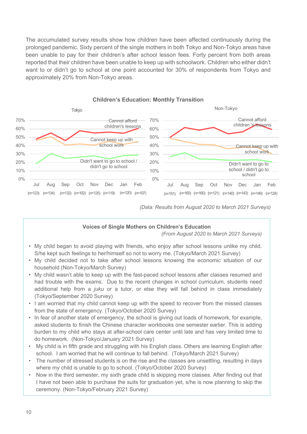The accumulated survey results show how children have been affected continuously during the prolonged pandemic. Sixty percent of the single mothers in both Tokyo and Non-Tokyo areas have been unable to pay for their children's after school lesson fees. Forty percent from both areas reported that their children have been unable to keep up with schoolwork. Children who either didn't want to or didn't go to school at one point accounted for 30% of respondents from Tokyo and approximately 20% from Non-Tokyo areas.



#### **Children's Education: Monthly Transition**

*(Data: Results from August 2020 to March 2021 Surveys)*

#### **Voices of Single Mothers on Children's Education**

*(From August 2020 to March 2021 Surveys)*

- My child began to avoid playing with friends, who enjoy after school lessons unlike my child. S/he kept such feelings to her/himself so not to worry me. (Tokyo/March 2021 Survey)
- My child decided not to take after school lessons knowing the economic situation of our household (Non-Tokyo/March Survey)
- My child wasn't able to keep up with the fast-paced school lessons after classes resumed and had trouble with the exams. Due to the recent changes in school curriculum, students need additional help from a *juku* or a tutor, or else they will fall behind in class immediately (Tokyo/September 2020 Survey)
- I am worried that my child cannot keep up with the speed to recover from the missed classes from the state of emergency. (Tokyo/October 2020 Survey)
- In fear of another state of emergency, the school is giving out loads of homework, for example, asked students to finish the Chinese character workbooks one semester earlier. This is adding burden to my child who stays at after-school care center until late and has very limited time to do homework. (Non-Tokyo/January 2021 Survey)
- My child is in fifth grade and struggling with his English class. Others are learning English after school. I am worried that he will continue to fall behind. (Tokyo/March 2021 Survey)
- The number of stressed students is on the rise and the classes are unsettling, resulting in days where my child is unable to go to school. (Tokyo/October 2020 Survey)
- Now in the third semester, my sixth grade child is skipping more classes. After finding out that I have not been able to purchase the suits for graduation yet, s/he is now planning to skip the ceremony. (Non-Tokyo/February 2021 Survey)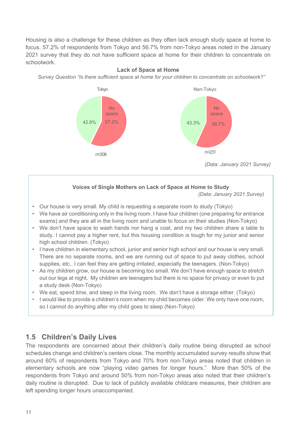Housing is also a challenge for these children as they often lack enough study space at home to focus. 57.2% of respondents from Tokyo and 56.7% from non-Tokyo areas noted in the January 2021 survey that they do not have sufficient space at home for their children to concentrate on schoolwork.



#### **Lack of Space at Home**

*Survey Question "Is there sufficient space at home for your children to concentrate on schoolwork?"*

#### **Voices of Single Mothers on Lack of Space at Home to Study**

*(Data: January 2021 Survey)*

- Our house is very small. My child is requesting a separate room to study (Tokyo)
- We have air conditioning only in the living room. I have four children (one preparing for entrance exams) and they are all in the living room and unable to focus on their studies (Non-Tokyo)
- We don't have space to wash hands nor hang a coat, and my two children share a table to study. I cannot pay a higher rent, but this housing condition is tough for my junior and senior high school children. (Tokyo)
- I have children in elementary school, junior and senior high school and our house is very small. There are no separate rooms, and we are running out of space to put away clothes, school supplies, etc.. I can feel they are getting irritated, especially the teenagers. (Non-Tokyo)
- As my children grow, our house is becoming too small. We don't have enough space to stretch out our legs at night. My children are teenagers but there is no space for privacy or even to put a study desk (Non-Tokyo)
- We eat, spend time, and sleep in the living room. We don't have a storage either. (Tokyo)
- I would like to provide a children's room when my child becomes older. We only have one room, so I cannot do anything after my child goes to sleep (Non-Tokyo)

### **1.5 Children's Daily Lives**

The respondents are concerned about their children's daily routine being disrupted as school schedules change and children's centers close. The monthly accumulated survey results show that around 60% of respondents from Tokyo and 70% from non-Tokyo areas noted that children in elementary schools are now "playing video games for longer hours." More than 50% of the respondents from Tokyo and around 50% from non-Tokyo areas also noted that their children's daily routine is disrupted. Due to lack of publicly available childcare measures, their children are left spending longer hours unaccompanied.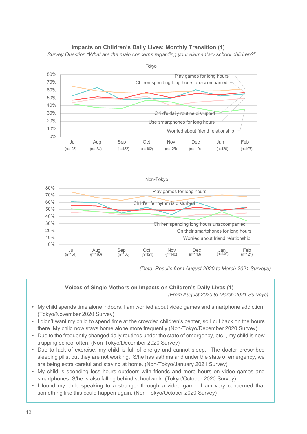#### **Impacts on Children's Daily Lives: Monthly Transition (1)**

*Survey Question "What are the main concerns regarding your elementary school children?"*





*(Data: Results from August 2020 to March 2021 Surveys)*

#### **Voices of Single Mothers on Impacts on Children's Daily Lives (1)**

*(From August 2020 to March 2021 Surveys)*

- My child spends time alone indoors. I am worried about video games and smartphone addiction. (Tokyo/November 2020 Survey)
- I didn't want my child to spend time at the crowded children's center, so I cut back on the hours there. My child now stays home alone more frequently (Non-Tokyo/December 2020 Survey)
- Due to the frequently changed daily routines under the state of emergency, etc.., my child is now skipping school often. (Non-Tokyo/December 2020 Survey)
- Due to lack of exercise, my child is full of energy and cannot sleep. The doctor prescribed sleeping pills, but they are not working. S/he has asthma and under the state of emergency, we are being extra careful and staying at home. (Non-Tokyo/January 2021 Survey)
- My child is spending less hours outdoors with friends and more hours on video games and smartphones. S/he is also falling behind schoolwork. (Tokyo/October 2020 Survey)
- I found my child speaking to a stranger through a video game. I am very concerned that something like this could happen again. (Non-Tokyo/October 2020 Survey)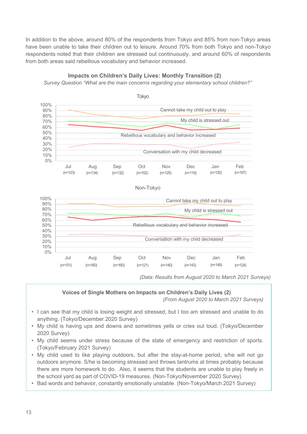In addition to the above, around 80% of the respondents from Tokyo and 85% from non-Tokyo areas have been unable to take their children out to leisure. Around 70% from both Tokyo and non-Tokyo respondents noted that their children are stressed out continuously, and around 60% of respondents from both areas said rebellious vocabulary and behavior increased.



**Impacts on Children's Daily Lives: Monthly Transition (2)**

*Survey Question "What are the main concerns regarding your elementary school children?"*

*(Data: Results from August 2020 to March 2021 Surveys)*

#### **Voices of Single Mothers on Impacts on Children's Daily Lives (2)**

*(From August 2020 to March 2021 Surveys)*

- I can see that my child is losing weight and stressed, but I too am stressed and unable to do anything. (Tokyo/December 2020 Survey)
- My child is having ups and downs and sometimes yells or cries out loud. (Tokyo/December 2020 Survey)
- My child seems under stress because of the state of emergency and restriction of sports. (Tokyo/February 2021 Survey)
- My child used to like playing outdoors, but after the stay-at-home period, s/he will not go outdoors anymore. S/he is becoming stressed and throws tantrums at times probably because there are more homework to do. Also, it seems that the students are unable to play freely in the school yard as part of COVID-19 measures. (Non-Tokyo/November 2020 Survey)
- Bad words and behavior, constantly emotionally unstable. (Non-Tokyo/March 2021 Survey)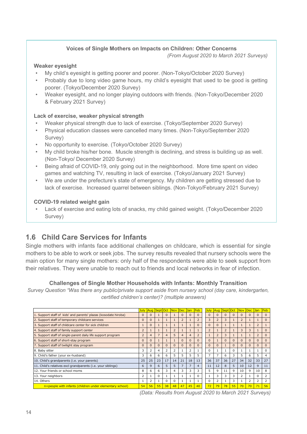#### **Voices of Single Mothers on Impacts on Children: Other Concerns**

*(From August 2020 to March 2021 Surveys)*

#### **Weaker eyesight**

- My child's eyesight is getting poorer and poorer. (Non-Tokyo/October 2020 Survey)
- Probably due to long video game hours, my child's eyesight that used to be good is getting poorer. (Tokyo/December 2020 Survey)
- Weaker eyesight, and no longer playing outdoors with friends. (Non-Tokyo/December 2020 & February 2021 Survey)

#### **Lack of exercise, weaker physical strength**

- Weaker physical strength due to lack of exercise. (Tokyo/September 2020 Survey)
- Physical education classes were cancelled many times. (Non-Tokyo/September 2020 Survey)
- No opportunity to exercise. (Tokyo/October 2020 Survey)
- My child broke his/her bone. Muscle strength is declining, and stress is building up as well. (Non-Tokyo/ December 2020 Survey)
- Being afraid of COVID-19, only going out in the neighborhood. More time spent on video games and watching TV, resulting in lack of exercise. (Tokyo/January 2021 Survey)
- We are under the prefecture's state of emergency. My children are getting stressed due to lack of exercise. Increased quarrel between siblings. (Non-Tokyo/February 2021 Survey)

#### **COVID-19 related weight gain**

• Lack of exercise and eating lots of snacks, my child gained weight. (Tokyo/December 2020 Survey)

## **1.6 Child Care Services for Infants**

Single mothers with infants face additional challenges on childcare, which is essential for single mothers to be able to work or seek jobs. The survey results revealed that nursery schools were the main option for many single mothers: only half of the respondents were able to seek support from their relatives. They were unable to reach out to friends and local networks in fear of infection.

#### **Challenges of Single Mother Households with Infants: Monthly Transition**

*Survey Question "Was there any public/private support aside from nursery school (day care, kindergarten, certified children's center)? (multiple answers)*

|                                                                 | <b>July</b>             |                | Aug Sept Oct Nov Dec |                 |                          |                | <b>Jan</b>     | Feb            | <b>July</b>             | Aug <sub>1</sub>        | Sept Oct       |          |                | Nov Dec Jan    |    | Feb          |
|-----------------------------------------------------------------|-------------------------|----------------|----------------------|-----------------|--------------------------|----------------|----------------|----------------|-------------------------|-------------------------|----------------|----------|----------------|----------------|----|--------------|
| 1. Support staff of kids' and parents' plazas (kosodate hiroba) | $\Omega$                | $\mathbf{0}$   |                      | $\Omega$        |                          | $\Omega$       | $\Omega$       | $\Omega$       | $\Omega$                | $\Omega$                | $\Omega$       | $\Omega$ |                | $\Omega$       |    | $\Omega$     |
| 2. Support staff of temporary childcare services                |                         | $\Omega$       |                      |                 |                          | $\overline{2}$ |                | $\overline{2}$ | 3                       | $\overline{2}$          | $\mathbf{B}$   |          | $\overline{2}$ |                |    | $\Omega$     |
| 3. Support staff of childcare center for sick children          |                         | $\Omega$       |                      |                 |                          |                |                | $\Omega$       | $\Omega$                | $\Omega$                |                |          |                |                |    |              |
| 4. Support staff of family support center                       | $\overline{2}$          |                |                      |                 | $\overline{\phantom{0}}$ |                |                |                | $\overline{\mathbf{z}}$ |                         | $\overline{2}$ |          | 3              | 3              |    | $\Omega$     |
| 5. Support staff of single-parent daily life support program    | $\overline{2}$          | $\overline{4}$ |                      | 4               | 5                        | $\overline{4}$ | $\overline{4}$ | $\overline{2}$ |                         | $\overline{2}$          | 3              |          |                |                |    | $\mathbf{0}$ |
| 6. Support staff of short-stay program                          | $\Omega$                | $\Omega$       |                      |                 |                          | $\Omega$       | $\Omega$       | $\Omega$       | $\Omega$                |                         | $\Omega$       | $\Omega$ | $\Omega$       | $\Omega$       |    | $\Omega$     |
| 7. Support staff of twilight stay program                       | $\Omega$                | $\Omega$       | $\Omega$             | $\Omega$        | n                        | $\Omega$       | $\Omega$       | $\Omega$       | $\Omega$                | $\Omega$                |                | $\Omega$ | $\Omega$       | $\Omega$       |    | $\Omega$     |
| 8. Baby sitter                                                  | 3                       | $\overline{2}$ | 4                    | $\overline{2}$  | 2                        |                | $\overline{2}$ |                | $\Omega$                |                         |                | $\Omega$ |                |                |    | $\Omega$     |
| 9. Child's father (your ex-husband)                             | 3                       | 6              | 6                    | 6               | 5                        | 5              | 5              | 5.             | 7                       |                         | 6              | 3        | 5              | 6              | 5  | 4            |
| 10. Child's grandparents (i.e. your parents)                    | 25                      | 25             | 23                   | 17              | 14                       | 21             | 18             | 13             | 36                      | 37                      | 36             | 27       | 34             | 32             | 33 | 27           |
| 11. Child's relatives excl grandparents (i.e. your siblings)    | 6                       | 9              | 6                    | 5               | 5                        | $\overline{7}$ | $\overline{7}$ | $\overline{4}$ | 11                      | 12                      | 8              | 5        | 10             | 12             | 9  | 11           |
| 12. Your friends or school moms                                 | 8                       | 6              | 6                    | 3               | 4                        | 3              | 3              | 3              | 5                       | 9                       | 11             | 9        | 10             | 9              | 10 | 8            |
| 13. Your neighbors                                              | $\overline{\mathbf{c}}$ |                | $\Omega$             |                 |                          |                |                | 0              |                         | 3                       | 3              | 3        |                |                |    |              |
| 14. Others                                                      |                         | $\overline{2}$ |                      | $\Omega$        | $\Omega$                 |                |                |                | $\Omega$                | $\overline{\mathbf{c}}$ |                | 3        |                | $\overline{2}$ |    | 2            |
| n=people with infants (children under elementary school)        | 54                      | 56             | 55                   | 38 <sup>2</sup> | 48                       | 47             | 45             | 40             | 72                      | 79                      | 78             | 55       | 70             | 70             | 71 | 56           |

*<sup>(</sup>Data: Results from August 2020 to March 2021 Surveys)*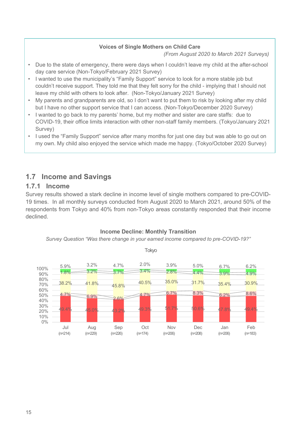#### **Voices of Single Mothers on Child Care**

*(From August 2020 to March 2021 Surveys)*

- Due to the state of emergency, there were days when I couldn't leave my child at the after-school day care service (Non-Tokyo/February 2021 Survey)
- I wanted to use the municipality's "Family Support" service to look for a more stable job but couldn't receive support. They told me that they felt sorry for the child - implying that I should not leave my child with others to look after. (Non-Tokyo/January 2021 Survey)
- My parents and grandparents are old, so I don't want to put them to risk by looking after my child but I have no other support service that I can access. (Non-Tokyo/December 2020 Survey)
- I wanted to go back to my parents' home, but my mother and sister are care staffs: due to COVID-19, their office limits interaction with other non-staff family members. (Tokyo/January 2021 Survey)
- I used the "Family Support" service after many months for just one day but was able to go out on my own. My child also enjoyed the service which made me happy. (Tokyo/October 2020 Survey)

## **1.7 Income and Savings**

### **1.7.1 Income**

Survey results showed a stark decline in income level of single mothers compared to pre-COVID-19 times. In all monthly surveys conducted from August 2020 to March 2021, around 50% of the respondents from Tokyo and 40% from non-Tokyo areas constantly responded that their income declined.



#### **Income Decline: Monthly Transition**

*Survey Question "Was there change in your earned income compared to pre-COVID-19?"*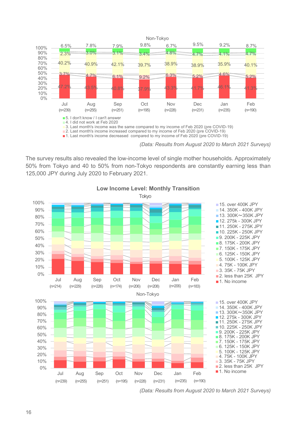

*(Data: Results from August 2020 to March 2021 Surveys)*

The survey results also revealed the low-income level of single mother households. Approximately 50% from Tokyo and 40 to 50% from non-Tokyo respondents are constantly earning less than 125,000 JPY during July 2020 to February 2021.



**Low Income Level: Monthly Transition**

*(Data: Results from August 2020 to March 2021 Surveys)*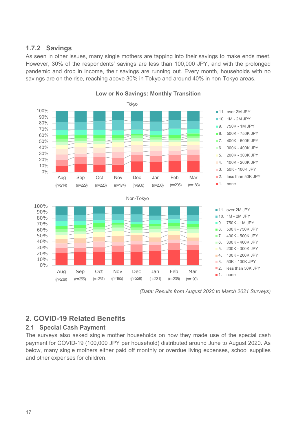### **1.7.2 Savings**

As seen in other issues, many single mothers are tapping into their savings to make ends meet. However, 30% of the respondents' savings are less than 100,000 JPY, and with the prolonged pandemic and drop in income, their savings are running out. Every month, households with no savings are on the rise, reaching above 30% in Tokyo and around 40% in non-Tokyo areas.



**Low or No Savings: Monthly Transition**

*(Data: Results from August 2020 to March 2021 Surveys)*

## **2. COVID-19 Related Benefits**

#### **2.1 Special Cash Payment**

The surveys also asked single mother households on how they made use of the special cash payment for COVID-19 (100,000 JPY per household) distributed around June to August 2020. As below, many single mothers either paid off monthly or overdue living expenses, school supplies and other expenses for children.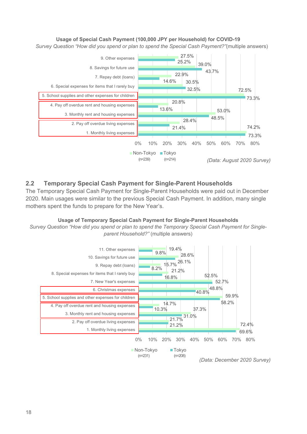#### **Usage of Special Cash Payment (100,000 JPY per Household) for COVID-19**

*Survey Question "How did you spend or plan to spend the Special Cash Payment?"*(multiple answers)



#### **2.2** ! **Temporary Special Cash Payment for Single-Parent Households**

The Temporary Special Cash Payment for Single-Parent Households were paid out in December 2020. Main usages were similar to the previous Special Cash Payment. In addition, many single mothers spent the funds to prepare for the New Year's.

#### **Usage of Temporary Special Cash Payment for Single-Parent Households**

*Survey Question "How did you spend or plan to spend the Temporary Special Cash Payment for Singleparent Household?"* (multiple answers)

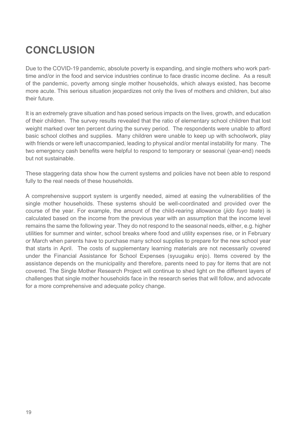## **CONCLUSION**

Due to the COVID-19 pandemic, absolute poverty is expanding, and single mothers who work parttime and/or in the food and service industries continue to face drastic income decline. As a result of the pandemic, poverty among single mother households, which always existed, has become more acute. This serious situation jeopardizes not only the lives of mothers and children, but also their future.

It is an extremely grave situation and has posed serious impacts on the lives, growth, and education of their children. The survey results revealed that the ratio of elementary school children that lost weight marked over ten percent during the survey period. The respondents were unable to afford basic school clothes and supplies. Many children were unable to keep up with schoolwork, play with friends or were left unaccompanied, leading to physical and/or mental instability for many. The two emergency cash benefits were helpful to respond to temporary or seasonal (year-end) needs but not sustainable.

These staggering data show how the current systems and policies have not been able to respond fully to the real needs of these households.

A comprehensive support system is urgently needed, aimed at easing the vulnerabilities of the single mother households. These systems should be well-coordinated and provided over the course of the year. For example, the amount of the child-rearing allowance (*jido fuyo teate*) is calculated based on the income from the previous year with an assumption that the income level remains the same the following year. They do not respond to the seasonal needs, either, e.g. higher utilities for summer and winter, school breaks where food and utility expenses rise, or in February or March when parents have to purchase many school supplies to prepare for the new school year that starts in April. The costs of supplementary learning materials are not necessarily covered under the Financial Assistance for School Expenses (syuugaku enjo). Items covered by the assistance depends on the municipality and therefore, parents need to pay for items that are not covered. The Single Mother Research Project will continue to shed light on the different layers of challenges that single mother households face in the research series that will follow, and advocate for a more comprehensive and adequate policy change.